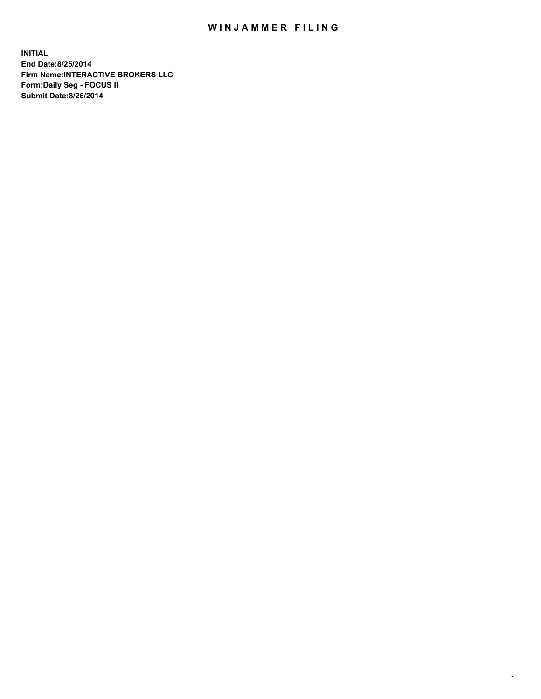## WIN JAMMER FILING

**INITIAL End Date:8/25/2014 Firm Name:INTERACTIVE BROKERS LLC Form:Daily Seg - FOCUS II Submit Date:8/26/2014**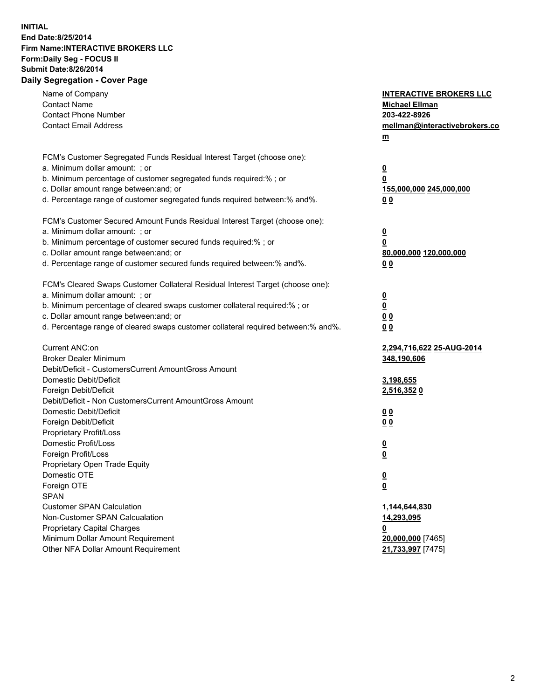## **INITIAL End Date:8/25/2014 Firm Name:INTERACTIVE BROKERS LLC Form:Daily Seg - FOCUS II Submit Date:8/26/2014 Daily Segregation - Cover Page**

| Name of Company<br><b>Contact Name</b><br><b>Contact Phone Number</b><br><b>Contact Email Address</b> | <b>INTERACTIVE BROKERS LLC</b><br><b>Michael Ellman</b><br>203-422-8926<br>mellman@interactivebrokers.co<br>$m$ |
|-------------------------------------------------------------------------------------------------------|-----------------------------------------------------------------------------------------------------------------|
| FCM's Customer Segregated Funds Residual Interest Target (choose one):                                |                                                                                                                 |
| a. Minimum dollar amount: ; or                                                                        | $\overline{\mathbf{0}}$                                                                                         |
| b. Minimum percentage of customer segregated funds required:% ; or                                    | 0                                                                                                               |
| c. Dollar amount range between: and; or                                                               | 155,000,000 245,000,000                                                                                         |
| d. Percentage range of customer segregated funds required between:% and%.                             | 0 <sub>0</sub>                                                                                                  |
| FCM's Customer Secured Amount Funds Residual Interest Target (choose one):                            |                                                                                                                 |
| a. Minimum dollar amount: ; or                                                                        | $\overline{\mathbf{0}}$                                                                                         |
| b. Minimum percentage of customer secured funds required:% ; or                                       | 0                                                                                                               |
| c. Dollar amount range between: and; or                                                               | 80,000,000 120,000,000                                                                                          |
| d. Percentage range of customer secured funds required between:% and%.                                | 0 <sub>0</sub>                                                                                                  |
|                                                                                                       |                                                                                                                 |
| FCM's Cleared Swaps Customer Collateral Residual Interest Target (choose one):                        |                                                                                                                 |
| a. Minimum dollar amount: ; or                                                                        | $\overline{\mathbf{0}}$                                                                                         |
| b. Minimum percentage of cleared swaps customer collateral required:% ; or                            | $\overline{\mathbf{0}}$                                                                                         |
| c. Dollar amount range between: and; or                                                               | 0 <sub>0</sub>                                                                                                  |
| d. Percentage range of cleared swaps customer collateral required between:% and%.                     | 0 <sub>0</sub>                                                                                                  |
| Current ANC:on                                                                                        | 2,294,716,622 25-AUG-2014                                                                                       |
| <b>Broker Dealer Minimum</b>                                                                          | 348,190,606                                                                                                     |
| Debit/Deficit - CustomersCurrent AmountGross Amount                                                   |                                                                                                                 |
| Domestic Debit/Deficit                                                                                | 3,198,655                                                                                                       |
| Foreign Debit/Deficit                                                                                 | 2,516,3520                                                                                                      |
| Debit/Deficit - Non CustomersCurrent AmountGross Amount                                               |                                                                                                                 |
| Domestic Debit/Deficit                                                                                | 0 <sub>0</sub>                                                                                                  |
| Foreign Debit/Deficit                                                                                 | 0 <sub>0</sub>                                                                                                  |
| Proprietary Profit/Loss                                                                               |                                                                                                                 |
| Domestic Profit/Loss                                                                                  | $\overline{\mathbf{0}}$                                                                                         |
| Foreign Profit/Loss                                                                                   | $\underline{\mathbf{0}}$                                                                                        |
| Proprietary Open Trade Equity                                                                         |                                                                                                                 |
| Domestic OTE                                                                                          | <u>0</u>                                                                                                        |
| Foreign OTE                                                                                           | <u>0</u>                                                                                                        |
| <b>SPAN</b>                                                                                           |                                                                                                                 |
| <b>Customer SPAN Calculation</b>                                                                      | 1,144,644,830                                                                                                   |
| Non-Customer SPAN Calcualation                                                                        | 14,293,095                                                                                                      |
| Proprietary Capital Charges                                                                           | <u>0</u>                                                                                                        |
| Minimum Dollar Amount Requirement                                                                     | 20,000,000 [7465]                                                                                               |
| Other NFA Dollar Amount Requirement                                                                   | 21,733,997 [7475]                                                                                               |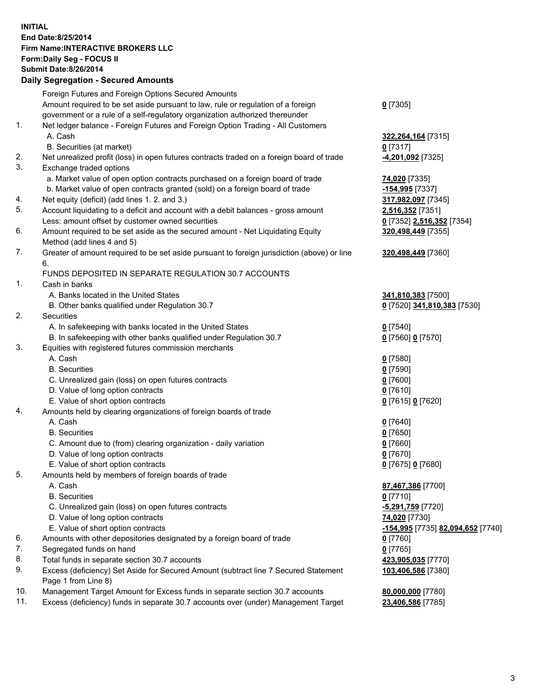## **INITIAL End Date:8/25/2014 Firm Name:INTERACTIVE BROKERS LLC Form:Daily Seg - FOCUS II Submit Date:8/26/2014 Daily Segregation - Secured Amounts**

|     | Daily Ocglegation - Occarea Anioants                                                                       |                                   |
|-----|------------------------------------------------------------------------------------------------------------|-----------------------------------|
|     | Foreign Futures and Foreign Options Secured Amounts                                                        |                                   |
|     | Amount required to be set aside pursuant to law, rule or regulation of a foreign                           | $0$ [7305]                        |
|     | government or a rule of a self-regulatory organization authorized thereunder                               |                                   |
| 1.  | Net ledger balance - Foreign Futures and Foreign Option Trading - All Customers                            |                                   |
|     | A. Cash                                                                                                    | 322, 264, 164 [7315]              |
|     | B. Securities (at market)                                                                                  | $0$ [7317]                        |
| 2.  | Net unrealized profit (loss) in open futures contracts traded on a foreign board of trade                  | -4,201,092 <sup>[7325]</sup>      |
| 3.  | Exchange traded options                                                                                    |                                   |
|     | a. Market value of open option contracts purchased on a foreign board of trade                             | 74,020 [7335]                     |
|     | b. Market value of open contracts granted (sold) on a foreign board of trade                               | -154,995 [7337]                   |
| 4.  | Net equity (deficit) (add lines 1.2. and 3.)                                                               | 317,982,097 [7345]                |
| 5.  | Account liquidating to a deficit and account with a debit balances - gross amount                          | 2,516,352 [7351]                  |
|     | Less: amount offset by customer owned securities                                                           | 0 [7352] 2,516,352 [7354]         |
| 6.  | Amount required to be set aside as the secured amount - Net Liquidating Equity                             | 320,498,449 [7355]                |
|     | Method (add lines 4 and 5)                                                                                 |                                   |
| 7.  | Greater of amount required to be set aside pursuant to foreign jurisdiction (above) or line                | 320,498,449 [7360]                |
|     | 6.                                                                                                         |                                   |
|     | FUNDS DEPOSITED IN SEPARATE REGULATION 30.7 ACCOUNTS                                                       |                                   |
| 1.  | Cash in banks                                                                                              |                                   |
|     | A. Banks located in the United States                                                                      | 341,810,383 [7500]                |
|     | B. Other banks qualified under Regulation 30.7                                                             | 0 [7520] 341,810,383 [7530]       |
| 2.  | Securities                                                                                                 |                                   |
|     | A. In safekeeping with banks located in the United States                                                  | $0$ [7540]                        |
|     | B. In safekeeping with other banks qualified under Regulation 30.7                                         | 0 [7560] 0 [7570]                 |
| 3.  | Equities with registered futures commission merchants                                                      |                                   |
|     | A. Cash                                                                                                    | $0$ [7580]                        |
|     | <b>B.</b> Securities                                                                                       | $0$ [7590]                        |
|     | C. Unrealized gain (loss) on open futures contracts                                                        | $0$ [7600]                        |
|     | D. Value of long option contracts                                                                          | $0$ [7610]                        |
|     | E. Value of short option contracts                                                                         | 0 [7615] 0 [7620]                 |
| 4.  | Amounts held by clearing organizations of foreign boards of trade                                          |                                   |
|     | A. Cash                                                                                                    | $0$ [7640]                        |
|     | <b>B.</b> Securities                                                                                       | $0$ [7650]                        |
|     | C. Amount due to (from) clearing organization - daily variation                                            | $0$ [7660]                        |
|     | D. Value of long option contracts                                                                          | $0$ [7670]                        |
|     | E. Value of short option contracts                                                                         | 0 [7675] 0 [7680]                 |
| 5.  | Amounts held by members of foreign boards of trade                                                         |                                   |
|     | A. Cash                                                                                                    | 87,467,386 [7700]                 |
|     | <b>B.</b> Securities                                                                                       | $0$ [7710]                        |
|     | C. Unrealized gain (loss) on open futures contracts                                                        | -5,291,759 [7720]                 |
|     | D. Value of long option contracts                                                                          | 74,020 [7730]                     |
|     | E. Value of short option contracts                                                                         | -154,995 [7735] 82,094,652 [7740] |
| 6.  | Amounts with other depositories designated by a foreign board of trade                                     | 0 [7760]                          |
| 7.  | Segregated funds on hand                                                                                   | $0$ [7765]                        |
| 8.  | Total funds in separate section 30.7 accounts                                                              | 423,905,035 [7770]                |
| 9.  | Excess (deficiency) Set Aside for Secured Amount (subtract line 7 Secured Statement<br>Page 1 from Line 8) | 103,406,586 [7380]                |
| 10. | Management Target Amount for Excess funds in separate section 30.7 accounts                                | 80,000,000 [7780]                 |
| 11. | Excess (deficiency) funds in separate 30.7 accounts over (under) Management Target                         | 23,406,586 [7785]                 |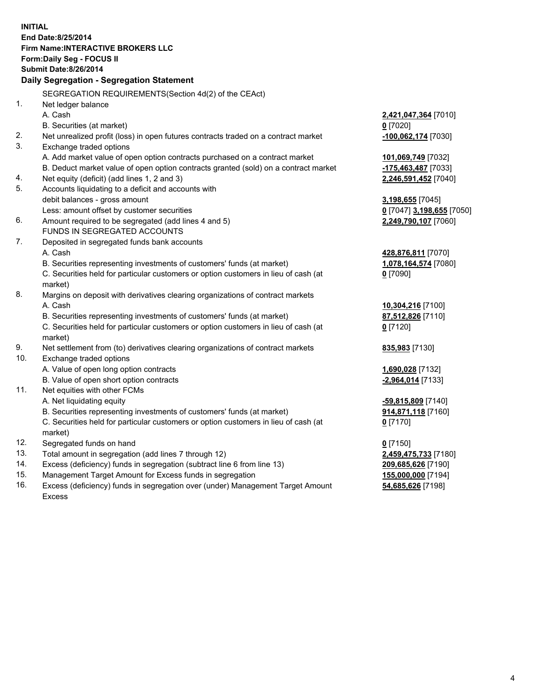**INITIAL End Date:8/25/2014 Firm Name:INTERACTIVE BROKERS LLC Form:Daily Seg - FOCUS II Submit Date:8/26/2014 Daily Segregation - Segregation Statement** SEGREGATION REQUIREMENTS(Section 4d(2) of the CEAct) 1. Net ledger balance A. Cash **2,421,047,364** [7010] B. Securities (at market) **0** [7020] 2. Net unrealized profit (loss) in open futures contracts traded on a contract market **-100,062,174** [7030] 3. Exchange traded options A. Add market value of open option contracts purchased on a contract market **101,069,749** [7032] B. Deduct market value of open option contracts granted (sold) on a contract market **-175,463,487** [7033] 4. Net equity (deficit) (add lines 1, 2 and 3) **2,246,591,452** [7040] 5. Accounts liquidating to a deficit and accounts with debit balances - gross amount **3,198,655** [7045] Less: amount offset by customer securities **0** [7047] **3,198,655** [7050] 6. Amount required to be segregated (add lines 4 and 5) **2,249,790,107** [7060] FUNDS IN SEGREGATED ACCOUNTS 7. Deposited in segregated funds bank accounts A. Cash **428,876,811** [7070] B. Securities representing investments of customers' funds (at market) **1,078,164,574** [7080] C. Securities held for particular customers or option customers in lieu of cash (at market) **0** [7090] 8. Margins on deposit with derivatives clearing organizations of contract markets A. Cash **10,304,216** [7100] B. Securities representing investments of customers' funds (at market) **87,512,826** [7110] C. Securities held for particular customers or option customers in lieu of cash (at market) **0** [7120] 9. Net settlement from (to) derivatives clearing organizations of contract markets **835,983** [7130] 10. Exchange traded options A. Value of open long option contracts **1,690,028** [7132] B. Value of open short option contracts **and the set of open short option contracts -2,964,014** [7133] 11. Net equities with other FCMs A. Net liquidating equity **-59,815,809** [7140] B. Securities representing investments of customers' funds (at market) **914,871,118** [7160] C. Securities held for particular customers or option customers in lieu of cash (at market) **0** [7170] 12. Segregated funds on hand **0** [7150] 13. Total amount in segregation (add lines 7 through 12) **2,459,475,733** [7180] 14. Excess (deficiency) funds in segregation (subtract line 6 from line 13) **209,685,626** [7190] 15. Management Target Amount for Excess funds in segregation **155,000,000** [7194]

16. Excess (deficiency) funds in segregation over (under) Management Target Amount Excess

**54,685,626** [7198]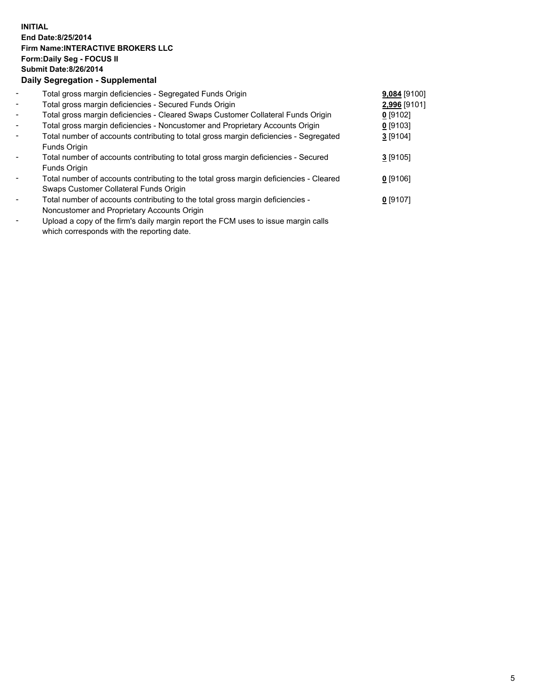## **INITIAL End Date:8/25/2014 Firm Name:INTERACTIVE BROKERS LLC Form:Daily Seg - FOCUS II Submit Date:8/26/2014 Daily Segregation - Supplemental**

| $\overline{\phantom{a}}$ | Total gross margin deficiencies - Segregated Funds Origin                              | 9,084 [9100] |  |
|--------------------------|----------------------------------------------------------------------------------------|--------------|--|
| $\blacksquare$           | Total gross margin deficiencies - Secured Funds Origin                                 | 2,996 [9101] |  |
| $\blacksquare$           | Total gross margin deficiencies - Cleared Swaps Customer Collateral Funds Origin       | $0$ [9102]   |  |
| $\blacksquare$           | Total gross margin deficiencies - Noncustomer and Proprietary Accounts Origin          | $0$ [9103]   |  |
| $\blacksquare$           | Total number of accounts contributing to total gross margin deficiencies - Segregated  | $3$ [9104]   |  |
|                          | Funds Origin                                                                           |              |  |
|                          | Total number of accounts contributing to total gross margin deficiencies - Secured     | $3$ [9105]   |  |
|                          | Funds Origin                                                                           |              |  |
|                          | Total number of accounts contributing to the total gross margin deficiencies - Cleared | $0$ [9106]   |  |
|                          | Swaps Customer Collateral Funds Origin                                                 |              |  |
|                          | Total number of accounts contributing to the total gross margin deficiencies -         | $0$ [9107]   |  |
|                          | Noncustomer and Proprietary Accounts Origin                                            |              |  |
|                          |                                                                                        |              |  |

- Upload a copy of the firm's daily margin report the FCM uses to issue margin calls which corresponds with the reporting date.